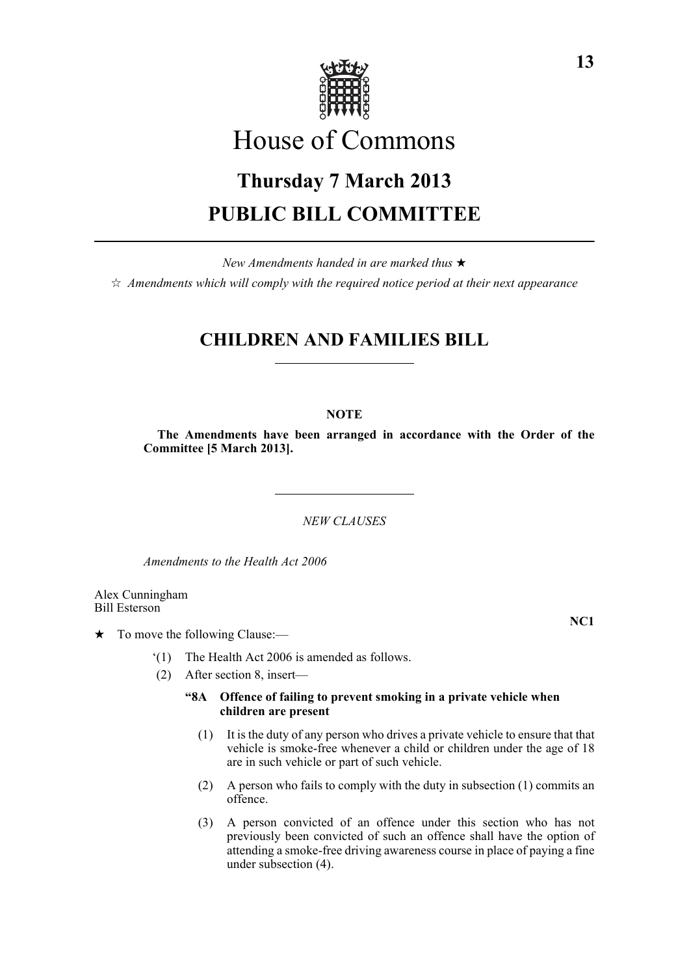

# House of Commons

# **Thursday 7 March 2013 PUBLIC BILL COMMITTEE**

*New Amendments handed in are marked thus* \*  $\dot{\varphi}$  *Amendments which will comply with the required notice period at their next appearance* 

# **CHILDREN AND FAMILIES BILL**

## **NOTE**

**The Amendments have been arranged in accordance with the Order of the Committee [5 March 2013].**

*NEW CLAUSES*

*Amendments to the Health Act 2006*

Alex Cunningham Bill Esterson

 $\star$  To move the following Clause:—

- '(1) The Health Act 2006 is amended as follows.
- (2) After section 8, insert—

## **"8A Offence of failing to prevent smoking in a private vehicle when children are present**

- (1) It is the duty of any person who drives a private vehicle to ensure that that vehicle is smoke-free whenever a child or children under the age of 18 are in such vehicle or part of such vehicle.
- (2) A person who fails to comply with the duty in subsection (1) commits an offence.
- (3) A person convicted of an offence under this section who has not previously been convicted of such an offence shall have the option of attending a smoke-free driving awareness course in place of paying a fine under subsection (4).

**13**

**NC1**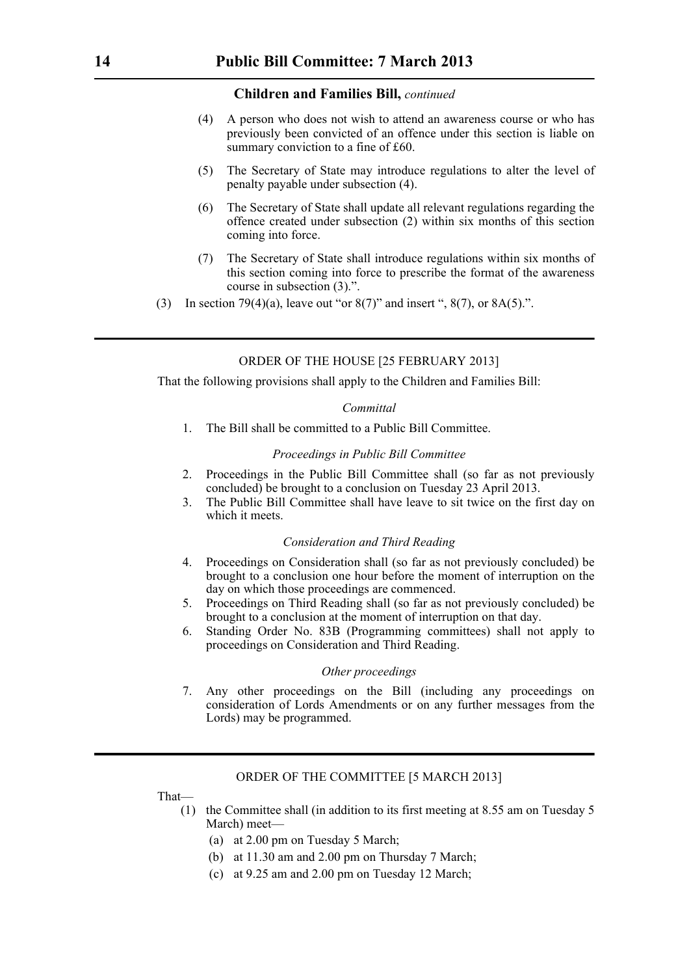#### **Children and Families Bill,** *continued*

- (4) A person who does not wish to attend an awareness course or who has previously been convicted of an offence under this section is liable on summary conviction to a fine of £60.
- (5) The Secretary of State may introduce regulations to alter the level of penalty payable under subsection (4).
- (6) The Secretary of State shall update all relevant regulations regarding the offence created under subsection (2) within six months of this section coming into force.
- (7) The Secretary of State shall introduce regulations within six months of this section coming into force to prescribe the format of the awareness course in subsection (3).".
- (3) In section 79(4)(a), leave out "or  $8(7)$ " and insert ",  $8(7)$ , or  $8A(5)$ .".

### ORDER OF THE HOUSE [25 FEBRUARY 2013]

That the following provisions shall apply to the Children and Families Bill:

#### *Committal*

1. The Bill shall be committed to a Public Bill Committee.

#### *Proceedings in Public Bill Committee*

- 2. Proceedings in the Public Bill Committee shall (so far as not previously concluded) be brought to a conclusion on Tuesday 23 April 2013.
- 3. The Public Bill Committee shall have leave to sit twice on the first day on which it meets

#### *Consideration and Third Reading*

- 4. Proceedings on Consideration shall (so far as not previously concluded) be brought to a conclusion one hour before the moment of interruption on the day on which those proceedings are commenced.
- 5. Proceedings on Third Reading shall (so far as not previously concluded) be brought to a conclusion at the moment of interruption on that day.
- 6. Standing Order No. 83B (Programming committees) shall not apply to proceedings on Consideration and Third Reading.

#### *Other proceedings*

7. Any other proceedings on the Bill (including any proceedings on consideration of Lords Amendments or on any further messages from the Lords) may be programmed.

#### ORDER OF THE COMMITTEE [5 MARCH 2013]

That—

- (1) the Committee shall (in addition to its first meeting at 8.55 am on Tuesday 5 March) meet—
	- (a) at 2.00 pm on Tuesday 5 March;
	- (b) at 11.30 am and 2.00 pm on Thursday 7 March;
	- (c) at 9.25 am and 2.00 pm on Tuesday 12 March;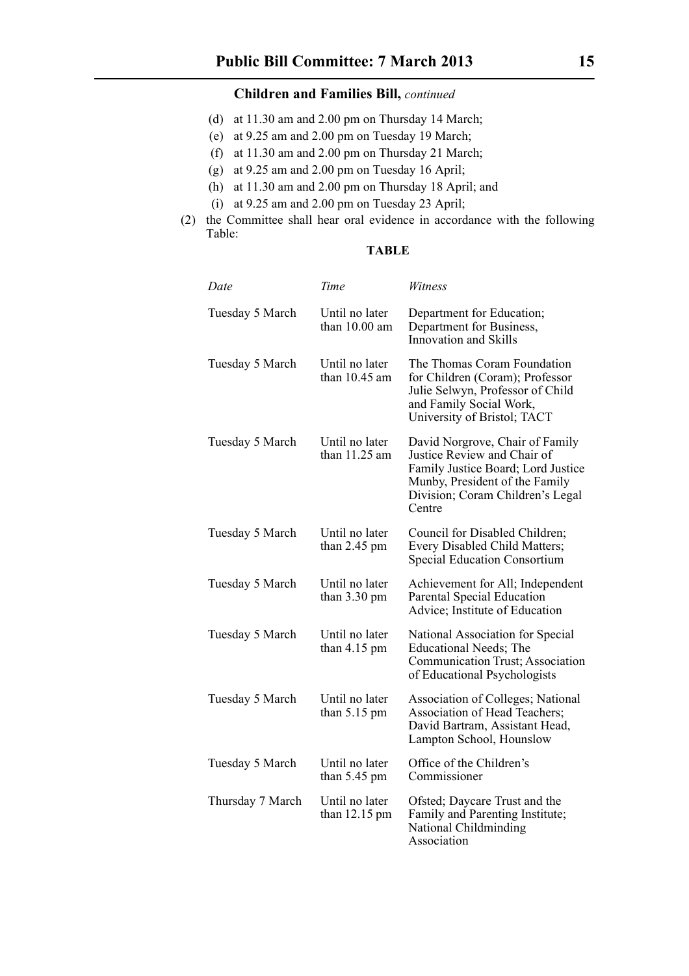# **Children and Families Bill,** *continued*

- (d) at 11.30 am and 2.00 pm on Thursday 14 March;
- (e) at 9.25 am and 2.00 pm on Tuesday 19 March;
- (f) at 11.30 am and 2.00 pm on Thursday 21 March;
- (g) at 9.25 am and 2.00 pm on Tuesday 16 April;
- (h) at 11.30 am and 2.00 pm on Thursday 18 April; and
- (i) at 9.25 am and 2.00 pm on Tuesday 23 April;
- (2) the Committee shall hear oral evidence in accordance with the following Table:

# **TABLE**

| Date             | Time                                      | Witness                                                                                                                                                                              |
|------------------|-------------------------------------------|--------------------------------------------------------------------------------------------------------------------------------------------------------------------------------------|
| Tuesday 5 March  | Until no later<br>than $10.00$ am         | Department for Education;<br>Department for Business,<br>Innovation and Skills                                                                                                       |
| Tuesday 5 March  | Until no later<br>than $10.45$ am         | The Thomas Coram Foundation<br>for Children (Coram); Professor<br>Julie Selwyn, Professor of Child<br>and Family Social Work,<br>University of Bristol; TACT                         |
| Tuesday 5 March  | Until no later<br>than $11.25$ am         | David Norgrove, Chair of Family<br>Justice Review and Chair of<br>Family Justice Board; Lord Justice<br>Munby, President of the Family<br>Division; Coram Children's Legal<br>Centre |
| Tuesday 5 March  | Until no later<br>than $2.45$ pm          | Council for Disabled Children;<br>Every Disabled Child Matters;<br><b>Special Education Consortium</b>                                                                               |
| Tuesday 5 March  | Until no later<br>than $3.30 \text{ pm}$  | Achievement for All; Independent<br>Parental Special Education<br>Advice; Institute of Education                                                                                     |
| Tuesday 5 March  | Until no later<br>than $4.15$ pm          | National Association for Special<br><b>Educational Needs</b> ; The<br>Communication Trust; Association<br>of Educational Psychologists                                               |
| Tuesday 5 March  | Until no later<br>than $5.15$ pm          | <b>Association of Colleges; National</b><br>Association of Head Teachers;<br>David Bartram, Assistant Head,<br>Lampton School, Hounslow                                              |
| Tuesday 5 March  | Until no later<br>than $5.45$ pm          | Office of the Children's<br>Commissioner                                                                                                                                             |
| Thursday 7 March | Until no later<br>than $12.15 \text{ pm}$ | Ofsted; Daycare Trust and the<br>Family and Parenting Institute;<br>National Childminding<br>Association                                                                             |